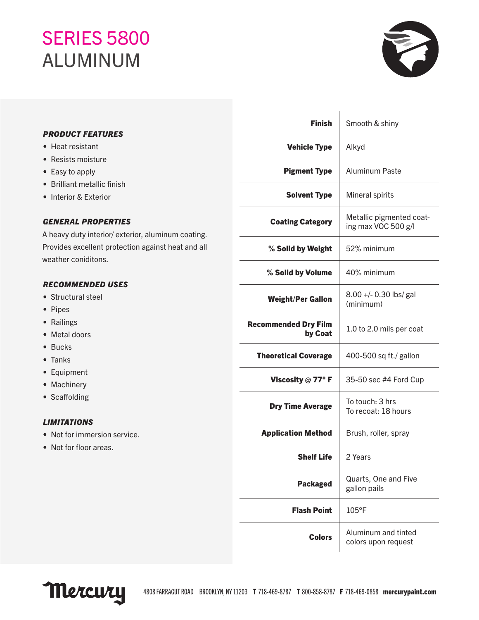## **SERIES 5800** ALUMINUM



### *PRODUCT FEATURES*

- Heat resistant
- Resists moisture
- Easy to apply
- Brilliant metallic finish
- Interior & Exterior

#### *GENERAL PROPERTIES*

A heavy duty interior/ exterior, aluminum coating. Provides excellent protection against heat and all weather coniditons.

#### *RECOMMENDED USES*

- Structural steel
- Pipes
- Railings
- Metal doors
- Bucks
- Tanks
- Equipment
- Machinery
- Scaffolding

#### *LIMITATIONS*

- Not for immersion service.
- Not for floor areas.

| <b>Finish</b>                          | Smooth & shiny                                  |
|----------------------------------------|-------------------------------------------------|
| <b>Vehicle Type</b>                    | Alkyd                                           |
| <b>Pigment Type</b>                    | Aluminum Paste                                  |
| <b>Solvent Type</b>                    | Mineral spirits                                 |
| <b>Coating Category</b>                | Metallic pigmented coat-<br>ing max VOC 500 g/l |
| % Solid by Weight                      | 52% minimum                                     |
| % Solid by Volume                      | 40% minimum                                     |
| <b>Weight/Per Gallon</b>               | 8.00 +/- 0.30 lbs/ gal<br>(minimum)             |
| <b>Recommended Dry Film</b><br>by Coat | 1.0 to 2.0 mils per coat                        |
| <b>Theoretical Coverage</b>            | 400-500 sq ft./ gallon                          |
| Viscosity @ 77° F                      | 35-50 sec #4 Ford Cup                           |
| <b>Dry Time Average</b>                | To touch: 3 hrs<br>To recoat: 18 hours          |
| <b>Application Method</b>              | Brush, roller, spray                            |
| <b>Shelf Life</b>                      | 2 Years                                         |
| <b>Packaged</b>                        | Quarts, One and Five<br>gallon pails            |
| <b>Flash Point</b>                     | 105°F                                           |
| <b>Colors</b>                          | Aluminum and tinted<br>colors upon request      |